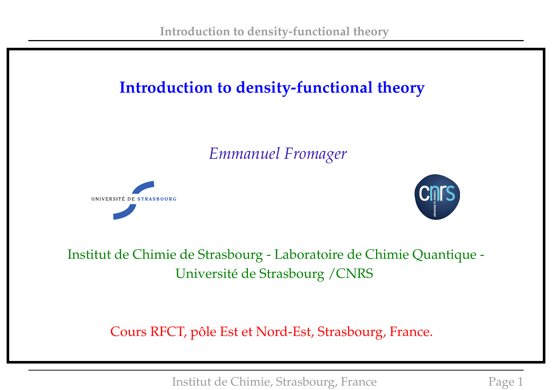# **Introduction to density-functional theory**

*Emmanuel Fromager*





Institut de Chimie de Strasbourg - Laboratoire de Chimie Quantique - Université de Strasbourg /CNRS

Cours RFCT, pôle Est et Nord-Est, Strasbourg, France.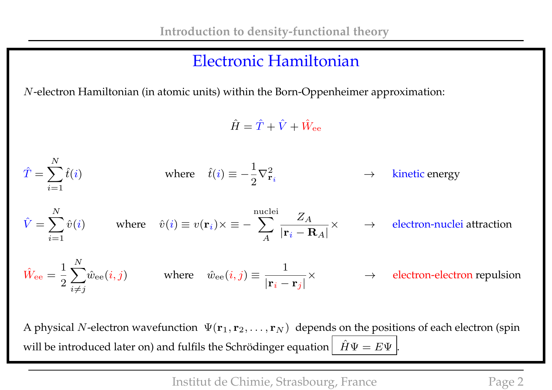#### Electronic Hamiltonian

N-electron Hamiltonian (in atomic units) within the Born-Oppenheimer approximation:

 $\hat{H} = \hat{T} + \hat{V} + \hat{W}_{ee}$ 

$$
\hat{T} = \sum_{i=1}^{N} \hat{t}(i)
$$
 where  $\hat{t}(i) \equiv -\frac{1}{2} \nabla_{\mathbf{r}_i}^2$   $\rightarrow$  kinetic energy  
\n
$$
\hat{V} = \sum_{i=1}^{N} \hat{v}(i)
$$
 where  $\hat{v}(i) \equiv v(\mathbf{r}_i) \times \equiv -\sum_{A}^{\text{nuclei}} \frac{Z_A}{|\mathbf{r}_i - \mathbf{R}_A|} \times \rightarrow$  electron-nuclei attraction  
\n
$$
\hat{W}_{\text{ee}} = \frac{1}{2} \sum_{i \neq j}^{N} \hat{w}_{\text{ee}}(i, j)
$$
 where  $\hat{w}_{\text{ee}}(i, j) \equiv \frac{1}{|\mathbf{r}_i - \mathbf{r}_j|} \times \rightarrow$  electron-electron repulsion

A physical N-electron wavefunction  $\Psi(\mathbf{r}_1, \mathbf{r}_2, \dots, \mathbf{r}_N)$  depends on the positions of each electron (spin will be introduced later on) and fulfils the Schrödinger equation  $\hat{H}\Psi = E\Psi$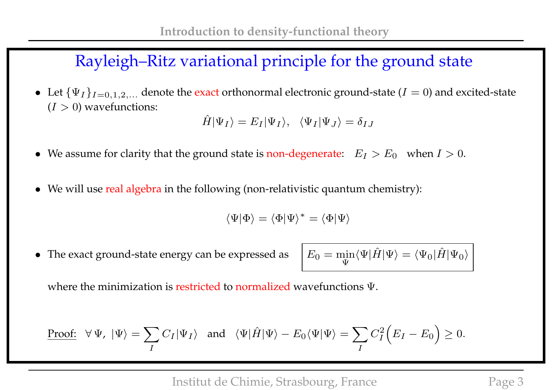## Rayleigh–Ritz variational principle for the ground state

• Let  $\{\Psi_I\}_{I=0,1,2,...}$  denote the exact orthonormal electronic ground-state ( $I=0$ ) and excited-state  $(I > 0)$  wavefunctions:

$$
\hat{H}|\Psi_I\rangle = E_I|\Psi_I\rangle, \quad \langle \Psi_I|\Psi_J\rangle = \delta_{IJ}
$$

- We assume for clarity that the ground state is non-degenerate:  $E_I > E_0$  when  $I > 0$ .
- We will use real algebra in the following (non-relativistic quantum chemistry):

$$
\langle \Psi|\Phi\rangle=\langle\Phi|\Psi\rangle^*=\langle\Phi|\Psi\rangle
$$

• The exact ground-state energy can be expressed as

Ψ  $\langle \Psi | \hat{H} | \Psi \rangle = \langle \Psi_0 | \hat{H} | \Psi_0 \rangle$ 

where the minimization is restricted to normalized wavefunctions Ψ.

Proof: 
$$
\forall \Psi, |\Psi\rangle = \sum_{I} C_{I} |\Psi_{I}\rangle
$$
 and  $\langle \Psi | \hat{H} | \Psi \rangle - E_{0} \langle \Psi | \Psi \rangle = \sum_{I} C_{I}^{2} (E_{I} - E_{0}) \ge 0$ .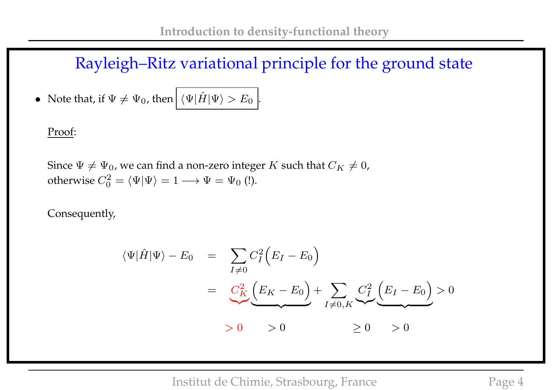Rayleigh–Ritz variational principle for the ground state

• Note that, if  $\Psi \neq \Psi_0$ , then  $|\langle \Psi | \hat{H} | \Psi \rangle > E_0 |$ 

Proof:

Since  $\Psi \neq \Psi_0$ , we can find a non-zero integer K such that  $C_K \neq 0$ , otherwise  $C_0^2 = \langle \Psi | \Psi \rangle = 1 \longrightarrow \Psi = \Psi_0$  (!).

Consequently,

$$
\langle \Psi | \hat{H} | \Psi \rangle - E_0 = \sum_{I \neq 0} C_I^2 \Big( E_I - E_0 \Big)
$$
  
= 
$$
\underbrace{C_K^2}{\sum_{I \neq 0} (E_K - E_0)} + \sum_{I \neq 0, K} \underbrace{C_I^2}{\sum_{I \neq 0} (E_I - E_0)} > 0
$$
  
> 0 > 0  $\geq 0$  > 0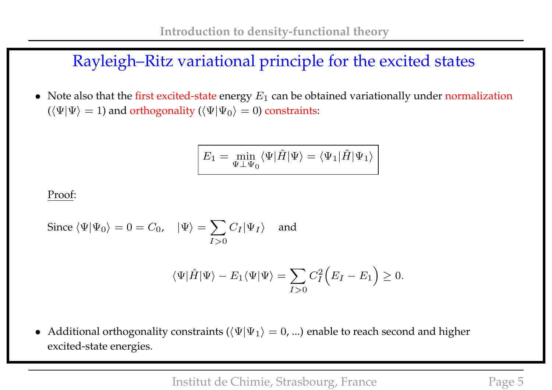## Rayleigh–Ritz variational principle for the excited states

• Note also that the first excited-state energy  $E_1$  can be obtained variationally under normalization  $(\langle \Psi | \Psi \rangle = 1)$  and orthogonality  $(\langle \Psi | \Psi_0 \rangle = 0)$  constraints:

$$
E_1 = \min_{\Psi \perp \Psi_0} \langle \Psi | \hat{H} | \Psi \rangle = \langle \Psi_1 | \hat{H} | \Psi_1 \rangle
$$

Proof:

Since 
$$
\langle \Psi | \Psi_0 \rangle = 0 = C_0
$$
,  $|\Psi\rangle = \sum_{I>0} C_I |\Psi_I\rangle$  and

$$
\langle \Psi | \hat{H} | \Psi \rangle - E_1 \langle \Psi | \Psi \rangle = \sum_{I>0} C_I^2 \Big( E_I - E_1 \Big) \ge 0.
$$

• Additional orthogonality constraints ( $\langle \Psi | \Psi_1 \rangle = 0$ , ...) enable to reach second and higher excited-state energies.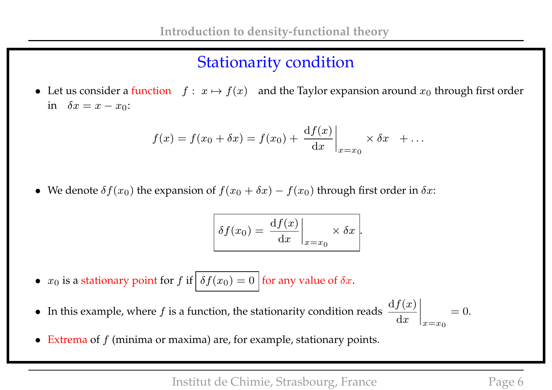# Stationarity condition

• Let us consider a function  $f : x \mapsto f(x)$  and the Taylor expansion around  $x_0$  through first order in  $\delta x = x - x_0$ :

$$
f(x) = f(x_0 + \delta x) = f(x_0) + \left. \frac{\mathrm{d}f(x)}{\mathrm{d}x} \right|_{x=x_0} \times \delta x + \dots
$$

• We denote  $\delta f(x_0)$  the expansion of  $f(x_0 + \delta x) - f(x_0)$  through first order in  $\delta x$ :

$$
\delta f(x_0) = \left. \frac{\mathrm{d} f(x)}{\mathrm{d} x} \right|_{x=x_0} \times \delta x.
$$

- $x_0$  is a stationary point for f if  $\delta f(x_0) = 0$  for any value of  $\delta x$ .
- In this example, where f is a function, the stationarity condition reads  $\frac{df(x)}{dx}$  $\mathrm{d}x$  $\Big\}$  $\begin{matrix} \phantom{-} \end{matrix}$  $\begin{array}{c} \hline \end{array}$  $\vert$  $x=x_0$  $= 0.$
- Extrema of  $f$  (minima or maxima) are, for example, stationary points.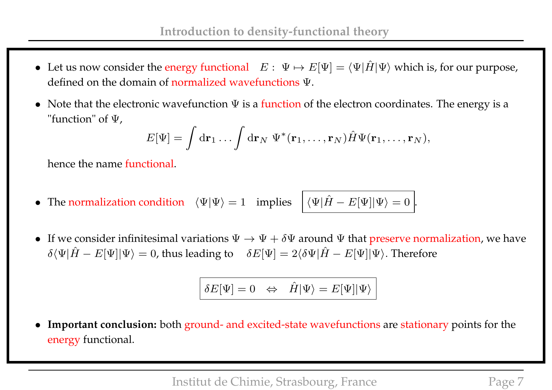- Let us now consider the energy functional  $E: \Psi \mapsto E[\Psi] = \langle \Psi | \hat{H} | \Psi \rangle$  which is, for our purpose, defined on the domain of normalized wavefunctions Ψ.
- Note that the electronic wavefunction  $\Psi$  is a function of the electron coordinates. The energy is a "function" of Ψ,

$$
E[\Psi] = \int d\mathbf{r}_1 \dots \int d\mathbf{r}_N \ \Psi^*(\mathbf{r}_1, \dots, \mathbf{r}_N) \hat{H} \Psi(\mathbf{r}_1, \dots, \mathbf{r}_N),
$$

hence the name functional.

- The normalization condition  $\langle \Psi | \Psi \rangle = 1$  implies  $\langle \Psi | \hat{H} E[\Psi] | \Psi \rangle = 0$ .
- If we consider infinitesimal variations  $\Psi \to \Psi + \delta \Psi$  around  $\Psi$  that preserve normalization, we have  $\delta \langle \Psi | \hat{H} - E[\Psi] | \Psi \rangle = 0$ , thus leading to  $\delta E[\Psi] = 2 \langle \delta \Psi | \hat{H} - E[\Psi] | \Psi \rangle$ . Therefore

$$
\delta E[\Psi]=0 \ \ \Leftrightarrow \ \ \hat{H}|\Psi\rangle=E[\Psi]|\Psi\rangle
$$

• **Important conclusion:** both ground- and excited-state wavefunctions are stationary points for the energy functional.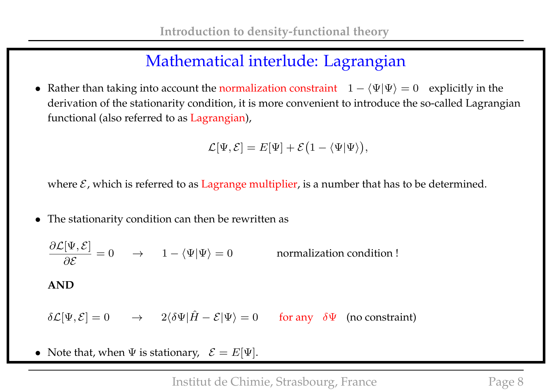## Mathematical interlude: Lagrangian

• Rather than taking into account the normalization constraint  $1 - \langle \Psi | \Psi \rangle = 0$  explicitly in the derivation of the stationarity condition, it is more convenient to introduce the so-called Lagrangian functional (also referred to as Lagrangian),

$$
\mathcal{L}[\Psi,\mathcal{E}] = E[\Psi] + \mathcal{E}(1 - \langle \Psi | \Psi \rangle),
$$

where  $\mathcal{E}$ , which is referred to as Lagrange multiplier, is a number that has to be determined.

• The stationarity condition can then be rewritten as

 $\partial \mathcal{L}[\Psi,\mathcal{E}]$ ∂E normalization condition ! **AND**  $\delta\mathcal{L}[\Psi,\mathcal{E}] = 0 \rightarrow 2\langle \delta\Psi|\hat{H}-\mathcal{E}|\Psi\rangle = 0$  for any  $\delta\Psi$  (no constraint)

• Note that, when  $\Psi$  is stationary,  $\mathcal{E} = E[\Psi]$ .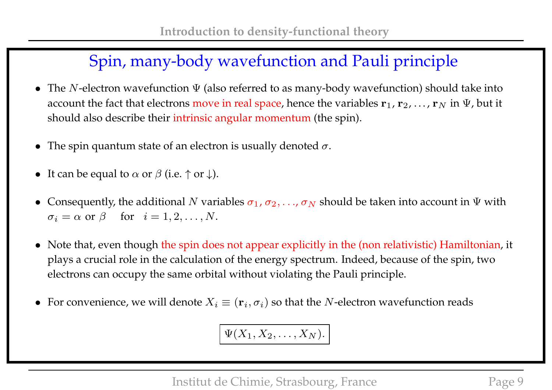# Spin, many-body wavefunction and Pauli principle

- The N-electron wavefunction  $\Psi$  (also referred to as many-body wavefunction) should take into account the fact that electrons move in real space, hence the variables  ${\bf r}_1, {\bf r}_2, \ldots, {\bf r}_N$  in  $\Psi$ , but it should also describe their intrinsic angular momentum (the spin).
- The spin quantum state of an electron is usually denoted  $\sigma$ .
- It can be equal to  $\alpha$  or  $\beta$  (i.e.  $\uparrow$  or  $\downarrow$ ).
- Consequently, the additional N variables  $\sigma_1$ ,  $\sigma_2$ , ...,  $\sigma_N$  should be taken into account in  $\Psi$  with  $\sigma_i = \alpha$  or  $\beta$  for  $i = 1, 2, ..., N$ .
- Note that, even though the spin does not appear explicitly in the (non relativistic) Hamiltonian, it plays a crucial role in the calculation of the energy spectrum. Indeed, because of the spin, two electrons can occupy the same orbital without violating the Pauli principle.
- For convenience, we will denote  $X_i \equiv (\mathbf{r}_i, \sigma_i)$  so that the N-electron wavefunction reads

$$
\Psi(X_1,X_2,\ldots,X_N).
$$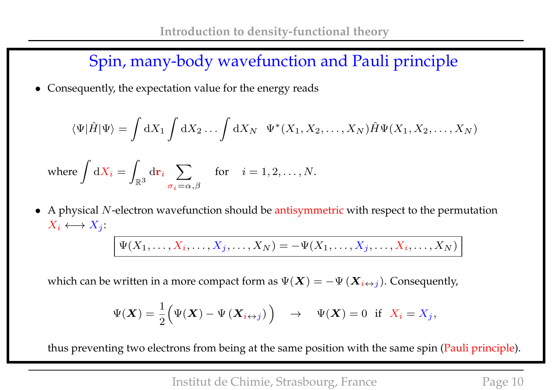Spin, many-body wavefunction and Pauli principle

• Consequently, the expectation value for the energy reads

$$
\langle \Psi | \hat{H} | \Psi \rangle = \int \mathrm{d}X_1 \int \mathrm{d}X_2 \dots \int \mathrm{d}X_N \ \ \Psi^*(X_1, X_2, \dots, X_N) \hat{H} \Psi(X_1, X_2, \dots, X_N)
$$

where 
$$
\int dX_i = \int_{\mathbb{R}^3} d\mathbf{r}_i \sum_{\sigma_i = \alpha, \beta}
$$
 for  $i = 1, 2, ..., N$ .

• A physical  $N$ -electron wavefunction should be antisymmetric with respect to the permutation  $X_i \longleftrightarrow X_j$ :

$$
\Psi(X_1,\ldots,X_i,\ldots,X_j,\ldots,X_N)=-\Psi(X_1,\ldots,X_j,\ldots,X_i,\ldots,X_N)
$$

which can be written in a more compact form as  $\Psi(\bm{X}) = -\Psi\left(\bm{X}_{i\leftrightarrow j}\right)$ . Consequently,

$$
\Psi(\boldsymbol{X}) = \frac{1}{2} \Big( \Psi(\boldsymbol{X}) - \Psi(\boldsymbol{X}_{i \leftrightarrow j}) \Big) \quad \to \quad \Psi(\boldsymbol{X}) = 0 \text{ if } X_i = X_j,
$$

thus preventing two electrons from being at the same position with the same spin (Pauli principle).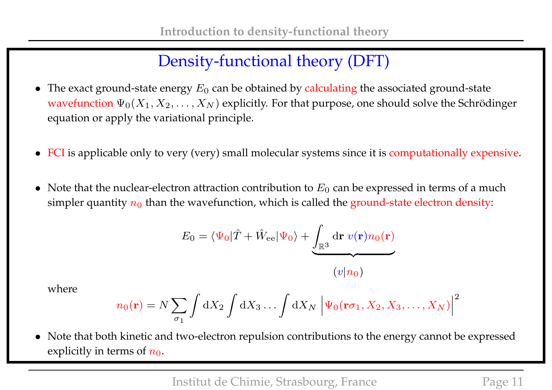# Density-functional theory (DFT)

- The exact ground-state energy  $E_0$  can be obtained by calculating the associated ground-state wavefunction  $\Psi_0(X_1, X_2, \ldots, X_N)$  explicitly. For that purpose, one should solve the Schrödinger equation or apply the variational principle.
- FCI is applicable only to very (very) small molecular systems since it is computationally expensive.
- Note that the nuclear-electron attraction contribution to  $E_0$  can be expressed in terms of a much simpler quantity  $n_0$  than the wavefunction, which is called the ground-state electron density:

$$
E_0 = \langle \Psi_0 | \hat{T} + \hat{W}_{ee} | \Psi_0 \rangle + \underbrace{\int_{\mathbb{R}^3} d\mathbf{r} \ v(\mathbf{r}) n_0(\mathbf{r})}{(v|n_0)}
$$

where

$$
n_0(\mathbf{r}) = N \sum_{\sigma_1} \int \mathrm{d}X_2 \int \mathrm{d}X_3 \dots \int \mathrm{d}X_N \left| \Psi_0(\mathbf{r}\sigma_1, X_2, X_3, \dots, X_N) \right|^2
$$

• Note that both kinetic and two-electron repulsion contributions to the energy cannot be expressed explicitly in terms of  $n_0$ .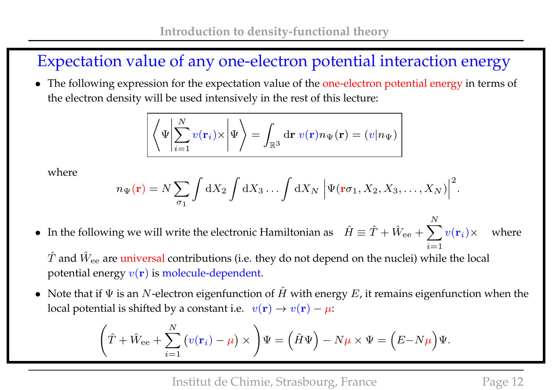# Expectation value of any one-electron potential interaction energy

• The following expression for the expectation value of the one-electron potential energy in terms of the electron density will be used intensively in the rest of this lecture:

$$
\left\langle \Psi \left| \sum_{i=1}^N v(\mathbf{r}_i) \times \right| \Psi \right\rangle = \int_{\mathbb{R}^3} d\mathbf{r} \ v(\mathbf{r}) n_{\Psi}(\mathbf{r}) = (v | n_{\Psi})
$$

where

$$
n_{\Psi}(\mathbf{r}) = N \sum_{\sigma_1} \int dX_2 \int dX_3 \dots \int dX_N \left| \Psi(\mathbf{r}\sigma_1, X_2, X_3, \dots, X_N) \right|^2.
$$

• In the following we will write the electronic Hamiltonian as  $\hat{H} \equiv \hat{T} + \hat{W}_{ee} + \sum$ N  $i=1$  $v(\mathbf{r}_i$ where

 $\hat{T}$  and  $\hat{W}_{ee}$  are universal contributions (i.e. they do not depend on the nuclei) while the local potential energy  $v(\mathbf{r})$  is molecule-dependent.

• Note that if  $\Psi$  is an N-electron eigenfunction of  $\hat{H}$  with energy  $E$ , it remains eigenfunction when the local potential is shifted by a constant i.e.  $v(\mathbf{r}) \rightarrow v(\mathbf{r}) - \mu$ :

$$
\left(\hat{T} + \hat{W}_{ee} + \sum_{i=1}^{N} \left(v(\mathbf{r}_i) - \mu\right) \times \right) \Psi = \left(\hat{H}\Psi\right) - N\mu \times \Psi = \left(E - N\mu\right)\Psi.
$$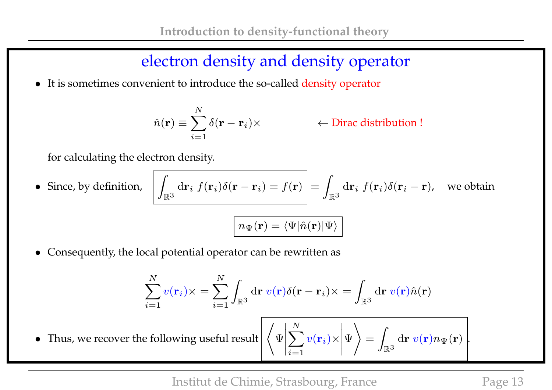## electron density and density operator

• It is sometimes convenient to introduce the so-called density operator

$$
\hat{n}(\mathbf{r}) \equiv \sum_{i=1}^{N} \delta(\mathbf{r} - \mathbf{r}_i) \times
$$

)× ← Dirac distribution !

for calculating the electron density.

• Since, by definition,  $\big|$  $\mathbb{R}^3$  $\mathrm{d} \mathbf{r}_i \; f(\mathbf{r}_i) \delta(\mathbf{r} - \mathbf{r}_i) = f(\mathbf{r}) \; | = 0$ Z  $\mathbb{R}^3$  $\mathrm{d} \mathbf{r}_i \; f(\mathbf{r}_i) \delta(\mathbf{r}_i - \mathbf{r})$ , we obtain

$$
n_{\Psi}(\mathbf{r}) = \langle \Psi | \hat{n}(\mathbf{r}) | \Psi \rangle
$$

• Consequently, the local potential operator can be rewritten as

$$
\sum_{i=1}^{N} v(\mathbf{r}_i) \times = \sum_{i=1}^{N} \int_{\mathbb{R}^3} d\mathbf{r} \ v(\mathbf{r}) \delta(\mathbf{r} - \mathbf{r}_i) \times = \int_{\mathbb{R}^3} d\mathbf{r} \ v(\mathbf{r}) \hat{n}(\mathbf{r})
$$

• Thus, we recover the following useful result  $\Big|\Big\langle \Psi \Big|$  $\Big\}$  $\Big\}$  $\overline{\phantom{a}}$  $\overline{\phantom{a}}$  $\vert$  $\sum$ N  $i=1$  $v(\mathbf{r}_i)\times$  $\Big\}$  $\Big\}$  $\Big\}$  $\Big\}$  $\vert$ Ψ  $\setminus$ = Z  $\mathbb{R}^3$  $\mathrm{d}\mathbf{r}\;v(\mathbf{r})n_{\Psi}(\mathbf{r})\mid$ .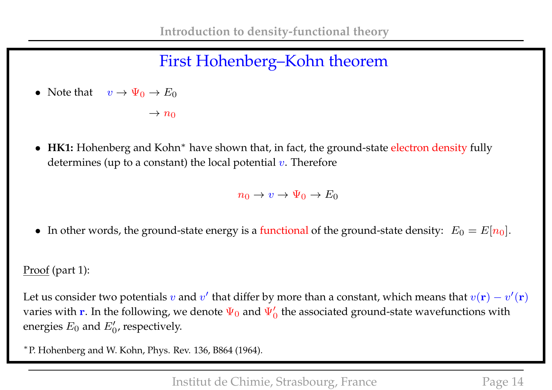# First Hohenberg–Kohn theorem

• Note that  $v \to \Psi_0 \to E_0$ 

 $\rightarrow n_0$ 

■ HK1: Hohenberg and Kohn<sup>\*</sup> have shown that, in fact, the ground-state electron density fully determines (up to a constant) the local potential  $v$ . Therefore

 $n_0 \to v \to \Psi_0 \to E_0$ 

• In other words, the ground-state energy is a functional of the ground-state density:  $E_0 = E[n_0]$ .

#### Proof (part 1):

Let us consider two potentials  $v$  and  $v'$  that differ by more than a constant, which means that  $v({\bf r})-v'({\bf r})$ varies with  ${\bf r}.$  In the following, we denote  $\Psi_0$  and  $\Psi_0'$  the associated ground-state wavefunctions with energies  $E_0$  and  $E'_0$ , respectively.

∗ P. Hohenberg and W. Kohn, Phys. Rev. 136, B864 (1964).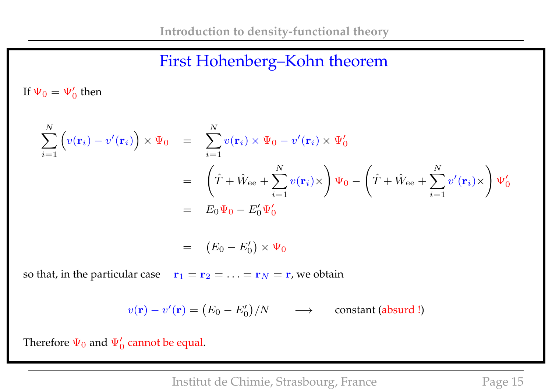## First Hohenberg–Kohn theorem

If  $\Psi_0 = \Psi_0'$  then

$$
\sum_{i=1}^{N} \left( v(\mathbf{r}_{i}) - v'(\mathbf{r}_{i}) \right) \times \Psi_{0} = \sum_{i=1}^{N} v(\mathbf{r}_{i}) \times \Psi_{0} - v'(\mathbf{r}_{i}) \times \Psi'_{0}
$$
\n
$$
= \left( \hat{T} + \hat{W}_{ee} + \sum_{i=1}^{N} v(\mathbf{r}_{i}) \times \right) \Psi_{0} - \left( \hat{T} + \hat{W}_{ee} + \sum_{i=1}^{N} v'(\mathbf{r}_{i}) \times \right) \Psi'_{0}
$$
\n
$$
= E_{0} \Psi_{0} - E'_{0} \Psi'_{0}
$$

$$
= (E_0 - E'_0) \times \Psi_0
$$

so that, in the particular case  $\mathbf{r}_1 = \mathbf{r}_2 = \ldots = \mathbf{r}_N = \mathbf{r}$ , we obtain

$$
v(\mathbf{r}) - v'(\mathbf{r}) = (E_0 - E'_0)/N \qquad \longrightarrow \qquad \text{constant (absurd!)}
$$

Therefore  $\Psi_0$  and  $\Psi_0'$  cannot be equal.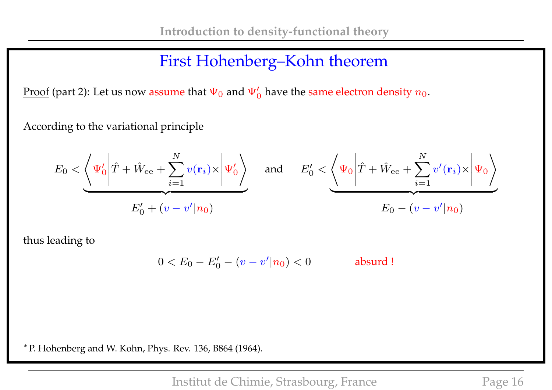# First Hohenberg–Kohn theorem

<u>Proof</u> (part 2): Let us now assume that  $\Psi_0$  and  $\Psi_0'$  have the same electron density  $n_0.$ 

According to the variational principle

$$
E_0 < \left\langle \Psi_0' \middle| \hat{T} + \hat{W}_{ee} + \sum_{i=1}^N v(\mathbf{r}_i) \times \middle| \Psi_0' \right\rangle \quad \text{and} \quad E_0' < \left\langle \Psi_0 \middle| \hat{T} + \hat{W}_{ee} + \sum_{i=1}^N v'(\mathbf{r}_i) \times \middle| \Psi_0 \right\rangle
$$
\n
$$
E_0' + (v - v' | n_0) \qquad \qquad E_0 - (v - v' | n_0)
$$

thus leading to

$$
0 < E_0 - E'_0 - (v - v'|n_0) < 0 \qquad \qquad \text{absurd!}
$$

∗ P. Hohenberg and W. Kohn, Phys. Rev. 136, B864 (1964).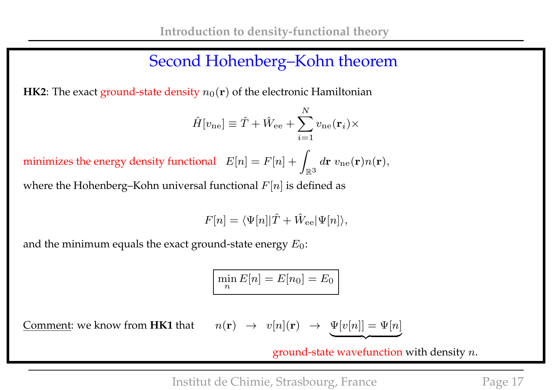### Second Hohenberg–Kohn theorem

**HK2**: The exact ground-state density  $n_0(\mathbf{r})$  of the electronic Hamiltonian

$$
\hat{H}[v_{\text{ne}}] \equiv \hat{T} + \hat{W}_{\text{ee}} + \sum_{i=1}^{N} v_{\text{ne}}(\mathbf{r}_i) \times
$$

minimizes the energy density functional  $E[n] = F[n] + \frac{1}{2}$  $\mathbb{R}^3$  $d{\bf r} \; v_{\rm ne}({\bf r}) n({\bf r}),$ 

where the Hohenberg–Kohn universal functional  $F[n]$  is defined as

$$
F[n] = \langle \Psi[n] | \hat{T} + \hat{W}_{\text{ee}} | \Psi[n] \rangle,
$$

and the minimum equals the exact ground-state energy  $E_0$ :

$$
\min_n E[n] = E[n_0] = E_0
$$

Comment: we know from **HK1** that

$$
n(\mathbf{r}) \rightarrow v[n](\mathbf{r}) \rightarrow \underbrace{\Psi[v[n]]}_{\sim} = \Psi[n]
$$

ground-state wavefunction with density  $n.$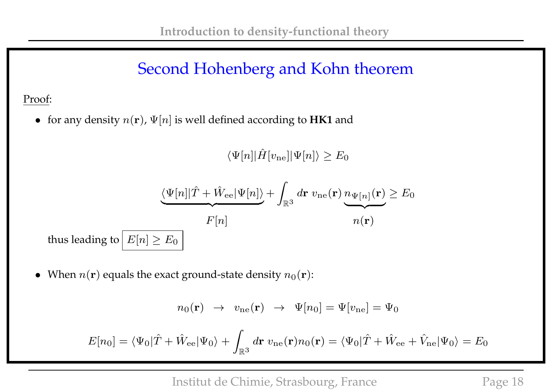## Second Hohenberg and Kohn theorem

#### Proof:

• for any density  $n(\mathbf{r})$ ,  $\Psi[n]$  is well defined according to **HK1** and

 $\langle \Psi[n]|\hat{H}[v_{\text{ne}}]|\Psi[n]\rangle \geq E_0$ 

$$
\underbrace{\langle \Psi[n]|\hat{T} + \hat{W}_{\text{ee}}|\Psi[n]\rangle}_{F[n]} + \int_{\mathbb{R}^3} d\mathbf{r} \, v_{\text{ne}}(\mathbf{r}) \underbrace{n_{\Psi[n]}(\mathbf{r})}_{n(\mathbf{r})} \ge E_0
$$
\nthus leading to  $E[n] \ge E_0$ 

• When  $n(\mathbf{r})$  equals the exact ground-state density  $n_0(\mathbf{r})$ :

$$
n_0(\mathbf{r}) \rightarrow v_{\text{ne}}(\mathbf{r}) \rightarrow \Psi[n_0] = \Psi[v_{\text{ne}}] = \Psi_0
$$

$$
E[n_0] = \langle \Psi_0 | \hat{T} + \hat{W}_{\text{ee}} | \Psi_0 \rangle + \int_{\mathbb{R}^3} d\mathbf{r} \ v_{\text{ne}}(\mathbf{r}) n_0(\mathbf{r}) = \langle \Psi_0 | \hat{T} + \hat{W}_{\text{ee}} + \hat{V}_{\text{ne}} | \Psi_0 \rangle = E_0
$$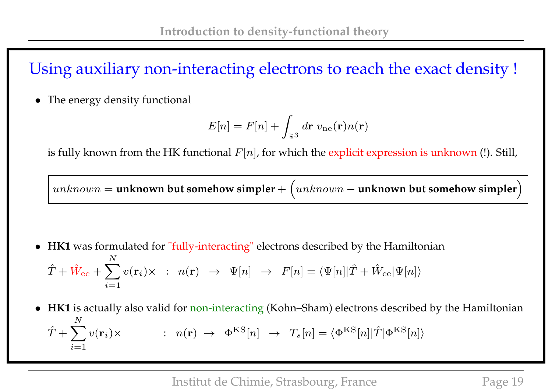# Using auxiliary non-interacting electrons to reach the exact density !

• The energy density functional

$$
E[n] = F[n] + \int_{\mathbb{R}^3} d\mathbf{r} \, v_{\text{ne}}(\mathbf{r}) n(\mathbf{r})
$$

is fully known from the HK functional  $F[n]$ , for which the explicit expression is unknown (!). Still,

 $unknown =$  <code>unknown</code> but somehow simpler  $+$   $\big(unknown -$  <code>unknown</code> but somehow simpler $\big)$ 

- **HK1** was formulated for "fully-interacting" electrons described by the Hamiltonian  $\hat{T}+\hat{W}_{\mathrm{ee}}+\sum$ N  $i=1$  $v(\mathbf{r}_i)\times$  :  $n(\mathbf{r}) \rightarrow \Psi[n] \rightarrow F[n] = \langle \Psi[n]|\hat{T} + \hat{W}_{\mathrm{ee}}|\Psi[n]\rangle$
- **HK1** is actually also valid for non-interacting (Kohn–Sham) electrons described by the Hamiltonian  $\hat{T} + \sum$ N  $i=1$  $v(\mathbf{r}_i) \times$  :  $n(\mathbf{r}) \rightarrow \Phi^{KS}[n] \rightarrow T_s[n] = \langle \Phi^{KS}[n] | \hat{T} | \Phi^{KS}[n] \rangle$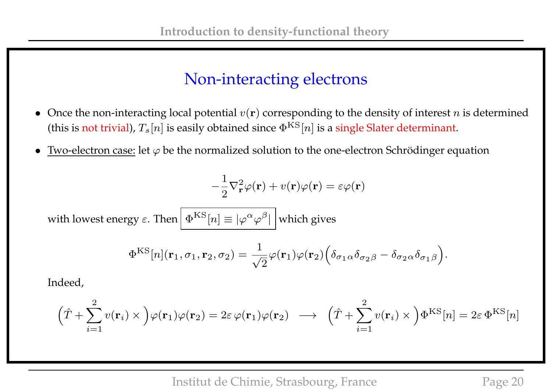#### Non-interacting electrons

- Once the non-interacting local potential  $v(\mathbf{r})$  corresponding to the density of interest n is determined (this is not trivial),  $T_s[n]$  is easily obtained since  $\Phi^{KS}[n]$  is a single Slater determinant.
- Two-electron case: let  $\varphi$  be the normalized solution to the one-electron Schrödinger equation

$$
-\frac{1}{2}\nabla_{\mathbf{r}}^2\varphi(\mathbf{r}) + v(\mathbf{r})\varphi(\mathbf{r}) = \varepsilon\varphi(\mathbf{r})
$$

with lowest energy  $\varepsilon.$  Then  $\left|\,\Phi^{\rm KS}[n]\equiv|\varphi^{\alpha}\varphi^{\beta}|\,\right|$  which gives

$$
\Phi^{\text{KS}}[n](\mathbf{r}_1,\sigma_1,\mathbf{r}_2,\sigma_2) = \frac{1}{\sqrt{2}}\varphi(\mathbf{r}_1)\varphi(\mathbf{r}_2)\Big(\delta_{\sigma_1\alpha}\delta_{\sigma_2\beta} - \delta_{\sigma_2\alpha}\delta_{\sigma_1\beta}\Big).
$$

Indeed,

$$
(\hat{T} + \sum_{i=1}^{2} v(\mathbf{r}_i) \times )\varphi(\mathbf{r}_1)\varphi(\mathbf{r}_2) = 2\varepsilon \varphi(\mathbf{r}_1)\varphi(\mathbf{r}_2) \longrightarrow (\hat{T} + \sum_{i=1}^{2} v(\mathbf{r}_i) \times )\Phi^{KS}[n] = 2\varepsilon \Phi^{KS}[n]
$$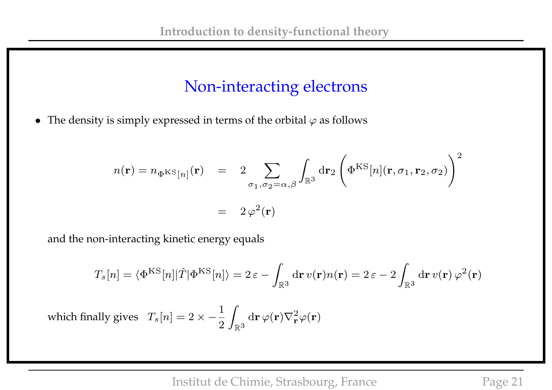## Non-interacting electrons

• The density is simply expressed in terms of the orbital  $\varphi$  as follows

$$
n(\mathbf{r}) = n_{\Phi} \kappa s_{[n]}(\mathbf{r}) = 2 \sum_{\sigma_1, \sigma_2 = \alpha, \beta} \int_{\mathbb{R}^3} d\mathbf{r}_2 \left( \Phi^{KS}[n](\mathbf{r}, \sigma_1, \mathbf{r}_2, \sigma_2) \right)^2
$$

$$
= 2 \varphi^2(\mathbf{r})
$$

and the non-interacting kinetic energy equals

$$
T_s[n] = \langle \Phi^{\text{KS}}[n] | \hat{T} | \Phi^{\text{KS}}[n] \rangle = 2 \,\varepsilon - \int_{\mathbb{R}^3} \text{d}\mathbf{r} \, v(\mathbf{r}) n(\mathbf{r}) = 2 \,\varepsilon - 2 \int_{\mathbb{R}^3} \text{d}\mathbf{r} \, v(\mathbf{r}) \, \varphi^2(\mathbf{r})
$$
\nwhich finally gives

\n
$$
T_s[n] = 2 \times -\frac{1}{2} \int_{\mathbb{R}^3} \text{d}\mathbf{r} \, \varphi(\mathbf{r}) \nabla_{\mathbf{r}}^2 \varphi(\mathbf{r})
$$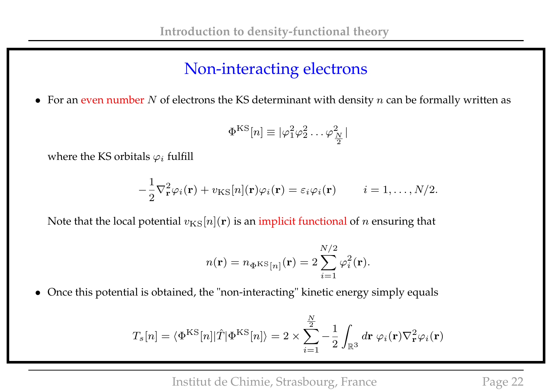# Non-interacting electrons

• For an even number  $N$  of electrons the KS determinant with density  $n$  can be formally written as

$$
\Phi^{\text{KS}}[n] \equiv |\varphi_1^2 \varphi_2^2 \dots \varphi_{\frac{N}{2}}^2|
$$

where the KS orbitals  $\varphi_i$  fulfill

$$
-\frac{1}{2}\nabla_{\mathbf{r}}^2\varphi_i(\mathbf{r}) + v_{\rm KS}[n](\mathbf{r})\varphi_i(\mathbf{r}) = \varepsilon_i\varphi_i(\mathbf{r}) \qquad i = 1,\ldots,N/2.
$$

Note that the local potential  $v_{\text{KS}}[n](\mathbf{r})$  is an implicit functional of n ensuring that

$$
n(\mathbf{r}) = n_{\Phi} \kappa s_{[n]}(\mathbf{r}) = 2 \sum_{i=1}^{N/2} \varphi_i^2(\mathbf{r}).
$$

• Once this potential is obtained, the "non-interacting" kinetic energy simply equals

$$
T_s[n] = \langle \Phi^{\rm KS}[n] | \hat{T} | \Phi^{\rm KS}[n] \rangle = 2 \times \sum_{i=1}^{\frac{N}{2}} - \frac{1}{2} \int_{\mathbb{R}^3} d\mathbf{r} \, \varphi_i(\mathbf{r}) \nabla_{\mathbf{r}}^2 \varphi_i(\mathbf{r})
$$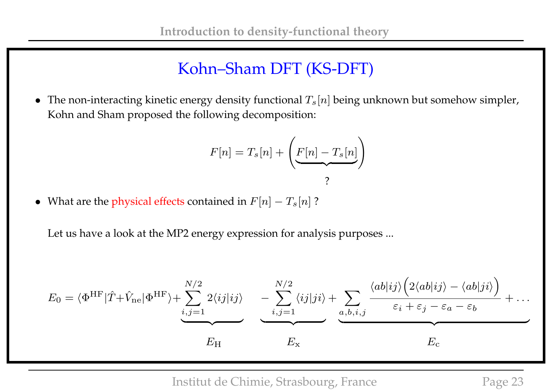• The non-interacting kinetic energy density functional  $T_s[n]$  being unknown but somehow simpler, Kohn and Sham proposed the following decomposition:

$$
F[n] = T_s[n] + \left(E[n] - T_s[n]\right)
$$

• What are the physical effects contained in  $F[n] - T_s[n]$ ?

Let us have a look at the MP2 energy expression for analysis purposes ...

$$
E_0 = \langle \Phi^{\text{HF}} | \hat{T} + \hat{V}_{\text{ne}} | \Phi^{\text{HF}} \rangle + \sum_{i,j=1}^{N/2} 2 \langle ij | ij \rangle \quad - \sum_{i,j=1}^{N/2} \langle ij | ji \rangle + \sum_{a,b,i,j} \frac{\langle ab | ij \rangle \Big( 2 \langle ab | ij \rangle - \langle ab | ji \rangle \Big)}{\varepsilon_i + \varepsilon_j - \varepsilon_a - \varepsilon_b} + \dots
$$

$$
E_{\text{H}} \qquad E_{\text{x}}
$$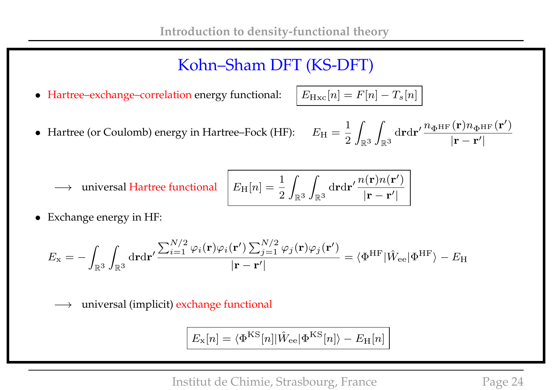• Hartree–exchange–correlation energy functional:  $E_{Hxc}[n] = F[n] - T_s[n]$ 

• Hartree (or Coulomb) energy in Hartree-Fock (HF): 
$$
E_{\rm H} = \frac{1}{2} \int_{\mathbb{R}^3} \int_{\mathbb{R}^3} d{\bf r} d{\bf r}' \frac{n_{\Phi^{\rm HF}}({\bf r}) n_{\Phi^{\rm HF}}({\bf r}')}{|{\bf r} - {\bf r}'|}
$$

 $\rightarrow$  universal Hartree functional  $\parallel$  *I* 

$$
E_{\mathrm{H}}[n] = \frac{1}{2} \int_{\mathbb{R}^3} \int_{\mathbb{R}^3} \mathrm{d} \mathbf{r} \mathrm{d} \mathbf{r}' \frac{n(\mathbf{r}) n(\mathbf{r}')}{|\mathbf{r} - \mathbf{r}'|} \ .
$$

• Exchange energy in HF:

$$
E_{\rm x} = -\int_{\mathbb{R}^3}\int_{\mathbb{R}^3}{\rm d} \mathbf{r} {\rm d} \mathbf{r}' \frac{\sum_{i=1}^{N/2}\varphi_i(\mathbf{r})\varphi_i(\mathbf{r}')\sum_{j=1}^{N/2}\varphi_j(\mathbf{r})\varphi_j(\mathbf{r}')}{|\mathbf{r} - \mathbf{r}'|} = \langle \Phi^{\rm HF} | \hat{W}_{\rm ee} | \Phi^{\rm HF} \rangle - E_{\rm H}
$$

−→ universal (implicit) exchange functional

$$
E_{\rm x}[n] = \langle \Phi^{\rm KS}[n] | \hat{W}_{\rm ee} | \Phi^{\rm KS}[n] \rangle - E_{\rm H}[n]
$$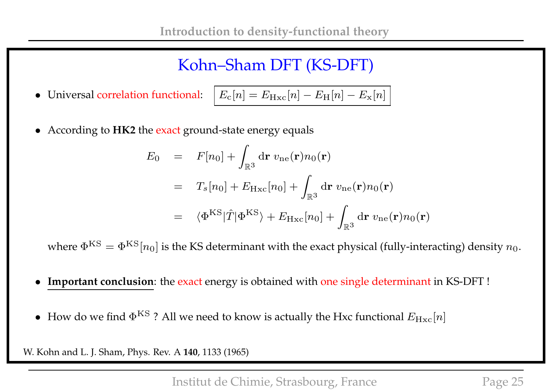• Universal correlation functional:

$$
E_{\rm c}[n] = E_{\rm Hxc}[n] - E_{\rm H}[n] - E_{\rm x}[n] \Big|
$$

• According to **HK2** the exact ground-state energy equals

$$
E_0 = F[n_0] + \int_{\mathbb{R}^3} d\mathbf{r} \, v_{ne}(\mathbf{r}) n_0(\mathbf{r})
$$
  
=  $T_s[n_0] + E_{Hxc}[n_0] + \int_{\mathbb{R}^3} d\mathbf{r} \, v_{ne}(\mathbf{r}) n_0(\mathbf{r})$   
=  $\langle \Phi^{KS} | \hat{T} | \Phi^{KS} \rangle + E_{Hxc}[n_0] + \int_{\mathbb{R}^3} d\mathbf{r} \, v_{ne}(\mathbf{r}) n_0(\mathbf{r})$ 

where  $\Phi^{KS} = \Phi^{KS}[n_0]$  is the KS determinant with the exact physical (fully-interacting) density  $n_0$ .

- **Important conclusion**: the exact energy is obtained with one single determinant in KS-DFT !
- How do we find  $\Phi^{KS}$  ? All we need to know is actually the Hxc functional  $E_{Hxc}[n]$

W. Kohn and L. J. Sham, Phys. Rev. A **140**, 1133 (1965)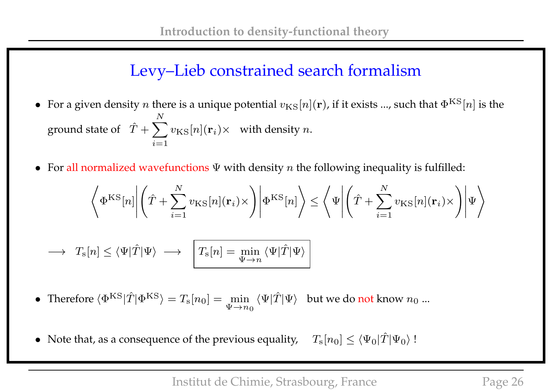# Levy–Lieb constrained search formalism

- For a given density *n* there is a unique potential  $v_{\text{KS}}[n](\mathbf{r})$ , if it exists ..., such that  $\Phi^{\text{KS}}[n]$  is the ground state of  $\hat{T} + \sum$ N  $i=1$  $v_{\text{KS}}[n] (\mathbf{r}_i) \times \;$  with density  $n.$
- For all normalized wavefunctions  $\Psi$  with density n the following inequality is fulfilled:

$$
\left\langle \Phi^{\rm KS}[n] \middle| \left( \hat{T} + \sum_{i=1}^{N} v_{\rm KS}[n](\mathbf{r}_i) \times \right) \middle| \Phi^{\rm KS}[n] \right\rangle \le \left\langle \Psi \middle| \left( \hat{T} + \sum_{i=1}^{N} v_{\rm KS}[n](\mathbf{r}_i) \times \right) \middle| \Psi \right\rangle
$$
  

$$
\longrightarrow T_{\rm s}[n] \le \left\langle \Psi | \hat{T} | \Psi \right\rangle \longrightarrow \boxed{T_{\rm s}[n] = \min_{\Psi \to n} \left\langle \Psi | \hat{T} | \Psi \right\rangle}
$$

• Therefore  $\langle \Phi^{KS} | \hat{T} | \Phi^{KS} \rangle = T_s[n_0] = \min_{\mathbf{I}}$  $\Psi \rightarrow n_0$  $\langle \Psi | \hat{T} | \Psi \rangle$  but we do not know  $n_0$  ...

• Note that, as a consequence of the previous equality,  $T_{\rm s}[n_0] \leq \langle \Psi_0|\hat{T}|\Psi_0\rangle$ !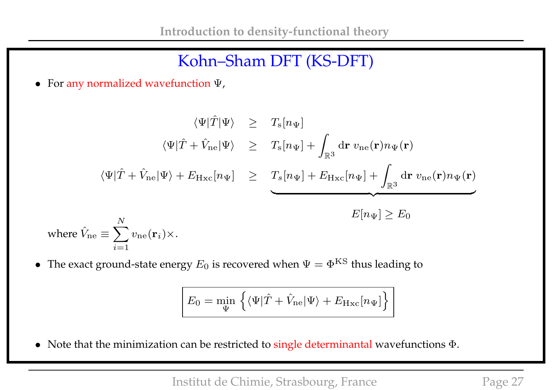• For any normalized wavefunction Ψ,

$$
\langle \Psi | \hat{T} | \Psi \rangle \geq T_{\rm s}[n_{\Psi}]
$$
  

$$
\langle \Psi | \hat{T} + \hat{V}_{\rm ne} | \Psi \rangle \geq T_{\rm s}[n_{\Psi}] + \int_{\mathbb{R}^3} d\mathbf{r} \, v_{\rm ne}(\mathbf{r}) n_{\Psi}(\mathbf{r})
$$
  

$$
\langle \Psi | \hat{T} + \hat{V}_{\rm ne} | \Psi \rangle + E_{\rm Hxc}[n_{\Psi}] \geq T_{\rm s}[n_{\Psi}] + E_{\rm Hxc}[n_{\Psi}] + \int_{\mathbb{R}^3} d\mathbf{r} \, v_{\rm ne}(\mathbf{r}) n_{\Psi}(\mathbf{r})
$$
  

$$
E[n_{\Psi}] \geq E_0
$$
  
where  $\hat{V}_{\rm ne} \equiv \sum_{i=1}^N v_{\rm ne}(\mathbf{r}_i) \times$ .

• The exact ground-state energy  $E_0$  is recovered when  $\Psi = \Phi^{KS}$  thus leading to

$$
E_0 = \min_{\Psi} \left\{ \langle \Psi | \hat{T} + \hat{V}_{\text{ne}} | \Psi \rangle + E_{\text{Hxc}}[n_{\Psi}] \right\}
$$

• Note that the minimization can be restricted to single determinantal wavefunctions Φ.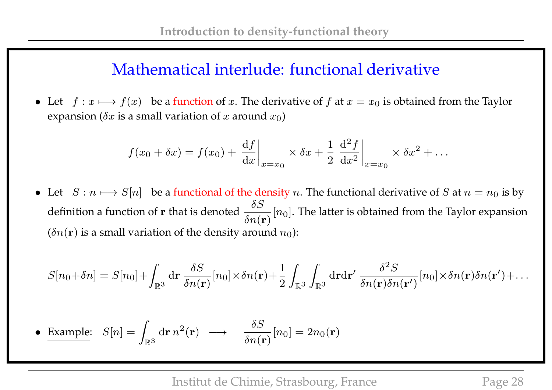### Mathematical interlude: functional derivative

• Let  $f : x \mapsto f(x)$  be a function of x. The derivative of f at  $x = x_0$  is obtained from the Taylor expansion ( $\delta x$  is a small variation of x around  $x_0$ )

$$
f(x_0 + \delta x) = f(x_0) + \left. \frac{\mathrm{d}f}{\mathrm{d}x} \right|_{x=x_0} \times \delta x + \frac{1}{2} \left. \frac{\mathrm{d}^2 f}{\mathrm{d}x^2} \right|_{x=x_0} \times \delta x^2 + \dots
$$

• Let  $S : n \mapsto S[n]$  be a functional of the density n. The functional derivative of S at  $n = n_0$  is by definition a function of r that is denoted  $\frac{\delta S}{\delta \sigma}$  $\delta n({\bf r})$  $[n_0]$ . The latter is obtained from the Taylor expansion  $(\delta n(\mathbf{r}))$  is a small variation of the density around  $n_0$ ):

$$
S[n_0+\delta n]=S[n_0]+\int_{\mathbb{R}^3}{\rm d}{\bf r}\,\frac{\delta S}{\delta n({\bf r})}[n_0]\times \delta n({\bf r})+\frac{1}{2}\int_{\mathbb{R}^3}\int_{\mathbb{R}^3}{\rm d}{\bf r}{\rm d}{\bf r}'\,\frac{\delta^2S}{\delta n({\bf r})\delta n({\bf r}')}[n_0]\times \delta n({\bf r})\delta n({\bf r}')+\dots
$$

• Example: 
$$
S[n] = \int_{\mathbb{R}^3} d\mathbf{r} n^2(\mathbf{r}) \longrightarrow \frac{\delta S}{\delta n(\mathbf{r})} [n_0] = 2n_0(\mathbf{r})
$$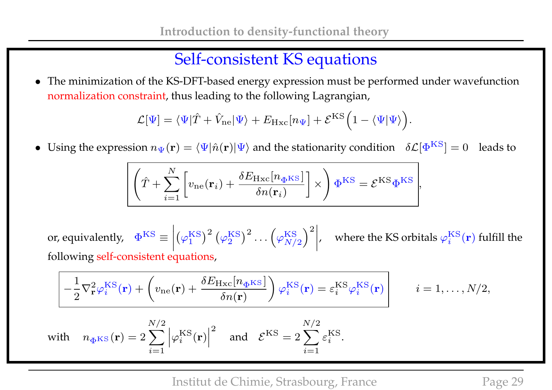# Self-consistent KS equations

• The minimization of the KS-DFT-based energy expression must be performed under wavefunction normalization constraint, thus leading to the following Lagrangian,

$$
\mathcal{L}[\Psi] = \langle \Psi | \hat{T} + \hat{V}_{\text{ne}} | \Psi \rangle + E_{\text{Hxc}}[n_{\Psi}] + \mathcal{E}^{\text{KS}} \Big( 1 - \langle \Psi | \Psi \rangle \Big).
$$

• Using the expression  $n_{\Psi}(\mathbf{r}) = \langle \Psi | \hat{n}(\mathbf{r}) | \Psi \rangle$  and the stationarity condition  $\delta \mathcal{L}[\Phi^{KS}] = 0$  leads to

$$
\overline{\left(\hat{T} + \sum_{i=1}^{N} \left[v_{\text{ne}}(\mathbf{r}_i) + \frac{\delta E_{\text{Hxc}}[n_{\Phi} \text{KS}]}{\delta n(\mathbf{r}_i)}\right] \times\right) \Phi^{\text{KS}}} = \mathcal{E}^{\text{KS}} \Phi^{\text{KS}},
$$

or, equivalently,  $\Phi^{\text{KS}} \equiv$  $\Big\}$  $\begin{array}{c} \hline \end{array}$  $\Big\}$  $\vert$  $(\varphi_1^{\mathrm{KS}}$  $\binom{\rm KS}{1}^2\left(\varphi_2^{\rm KS}\right)$  $\genfrac{}{}{0pt}{}{\text{KS}}{2}^{2}\cdots \genfrac{}{}{0pt}{}{\varphi_{N/}^{\text{KS}}}$  $N/2$  $\chi^2$  $\Big\}$  $\Big\}$  $\vert$ , where the KS orbitals  $\varphi^{\mathrm{KS}}_i$  $i^{\rm KS}(\mathbf{r})$  fulfill the following self-consistent equations,

$$
\left[ -\frac{1}{2} \nabla_{\mathbf{r}}^2 \varphi_i^{\mathrm{KS}}(\mathbf{r}) + \left( v_{\mathrm{ne}}(\mathbf{r}) + \frac{\delta E_{\mathrm{Hxc}}[n_{\Phi} \mathrm{KS}]}{\delta n(\mathbf{r})} \right) \varphi_i^{\mathrm{KS}}(\mathbf{r}) = \varepsilon_i^{\mathrm{KS}} \varphi_i^{\mathrm{KS}}(\mathbf{r}) \right] \qquad i = 1, \dots, N/2,
$$
  

$$
N/2 \qquad \qquad N/2
$$

with 
$$
n_{\Phi^{KS}}(\mathbf{r}) = 2 \sum_{i=1}^{N/2} |\varphi_i^{KS}(\mathbf{r})|^2
$$
 and  $\mathcal{E}^{KS} = 2 \sum_{i=1}^{N/2} \varepsilon_i^{KS}$ .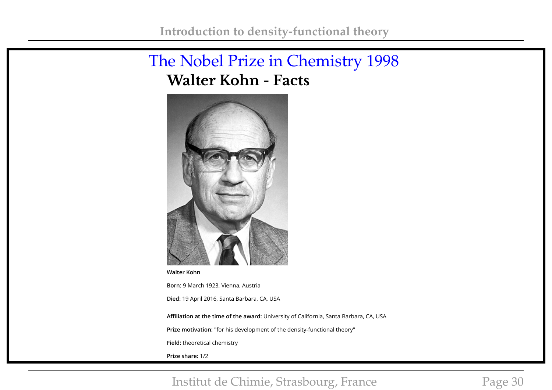## The Nobel Prize in Chemistry 1998 **Walter Kohn - Facts**



**Walter Kohn**

**Born:** 9 March 1923, Vienna, Austria **Died:** 19 April 2016, Santa Barbara, CA, USA

**Affiliation at the time of the award:** University of California, Santa Barbara, CA, USA

**Prize motivation:** "for his development of the density-functional theory"

**Field:** theoretical chemistry

**Prize share:** 1/2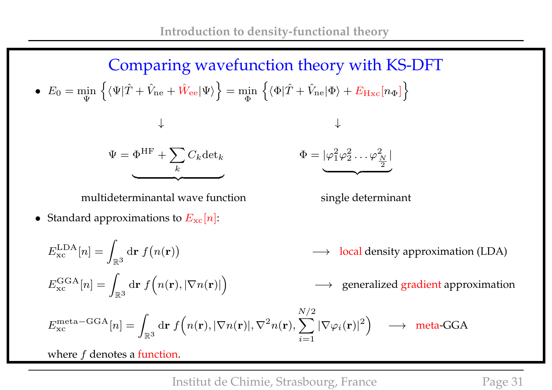Comparing wavefunction theory with KS-DFT •  $E_0 = \min_{\mathbf{x}}$ Ψ  $\left\{ \langle \Psi | \hat{T} + \hat{V}_{\rm ne} + \hat{W}_{\rm ee} | \Psi \rangle \right\} = \min_{\Psi} \left\{ \hat{\Psi} | \hat{T} \hat{\Psi} \right\}$ Φ  $\left\{\langle\Phi| \hat{T}+\hat{V}_{\rm ne} |\Phi\rangle +E_{\rm Hxc}[n_\Phi]\right\}$ ↓ ↓  $\Psi = \Phi^{\rm HF} + \sum C_k {\rm det}_k$ k  $\overline{\phantom{a}}$  $\Phi = |\varphi_1^2\>$  $_1^2\varphi _2^2$  $\frac{2}{2}\ldots \varphi_{\frac{\;N\;}{\;N}}^2$ 2 |  $\overline{\phantom{a}}$ 

multideterminantal wave function single determinant

 $\mathbb{R}^3$ 

• Standard approximations to  $E_{\text{xc}}[n]$ :

$$
E_{\text{xc}}^{\text{LDA}}[n] = \int_{\mathbb{R}^3} d\mathbf{r} \, f(n(\mathbf{r})) \longrightarrow \text{local density approximation (LDA)}
$$
  
\n
$$
E_{\text{xc}}^{\text{GGA}}[n] = \int_{\mathbb{R}^3} d\mathbf{r} \, f(n(\mathbf{r}), |\nabla n(\mathbf{r})|) \longrightarrow \text{ generalized gradient approximation}
$$
  
\n
$$
E_{\text{xc}}^{\text{meta-GGA}}[n] = \int_{\mathbb{R}^3} d\mathbf{r} \, f(n(\mathbf{r}), |\nabla n(\mathbf{r})|, \nabla^2 n(\mathbf{r}), \sum_{i=1}^{N/2} |\nabla \varphi_i(\mathbf{r})|^2) \longrightarrow \text{meta-GGA}
$$

 $i=1$ 

where  $f$  denotes a function.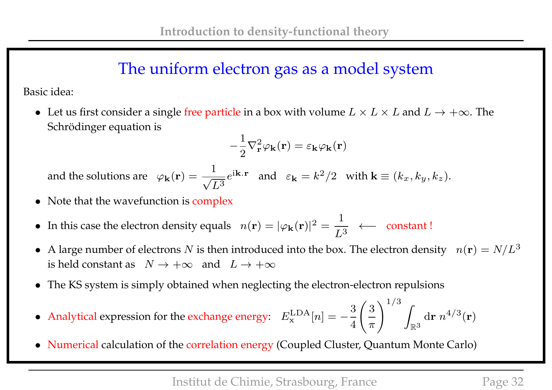## The uniform electron gas as a model system

Basic idea:

• Let us first consider a single free particle in a box with volume  $L \times L \times L$  and  $L \to +\infty$ . The Schrödinger equation is

$$
-\frac{1}{2}\nabla_{\mathbf{r}}^2\varphi_{\mathbf{k}}(\mathbf{r}) = \varepsilon_{\mathbf{k}}\varphi_{\mathbf{k}}(\mathbf{r})
$$

and the solutions are  $\varphi_{\bf k}({\bf r}) = -\frac{1}{\sqrt{2}}$  $L^3$  $e^{i\mathbf{k} \cdot \mathbf{r}}$  and  $\varepsilon_{\mathbf{k}} = k^2/2$  with  $\mathbf{k} \equiv (k_x, k_y, k_z)$ .

- Note that the wavefunction is complex
- In this case the electron density equals  $n(\mathbf{r}) = |\varphi_{\mathbf{k}}(\mathbf{r})|^2 =$ 1  $L^3$ ←− constant !
- A large number of electrons N is then introduced into the box. The electron density  $n(\mathbf{r}) = N/L^3$ is held constant as  $N \to +\infty$  and  $L \to +\infty$
- The KS system is simply obtained when neglecting the electron-electron repulsions
- Analytical expression for the exchange energy:  $E_{\rm x}^{\rm LDA}$  $\mathbf{x}^{\text{LDA}}[n] = -$ 3 4  $\sqrt{3}$  $\pi$  $\bigwedge^{1/3}$  $\mathbb{R}^3$  $\mathrm{d}\mathbf{r} \; n^{4/3}(\mathbf{r})$
- Numerical calculation of the correlation energy (Coupled Cluster, Quantum Monte Carlo)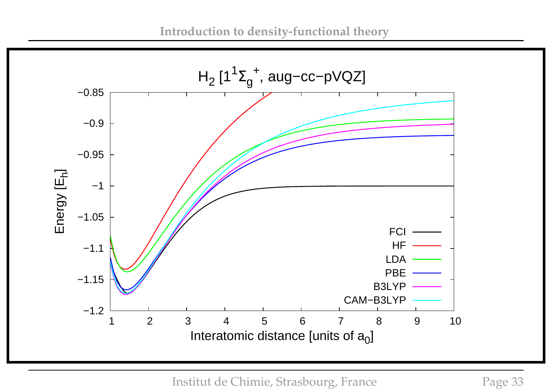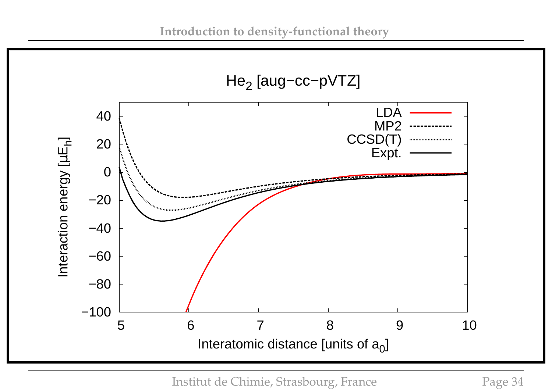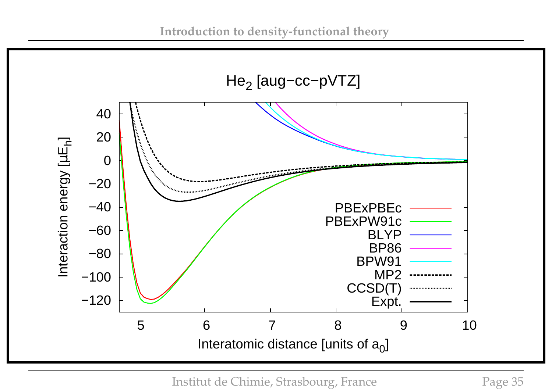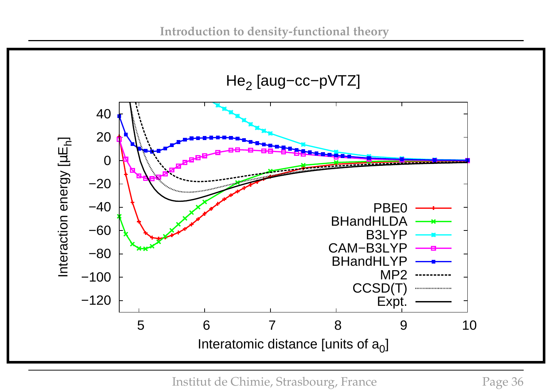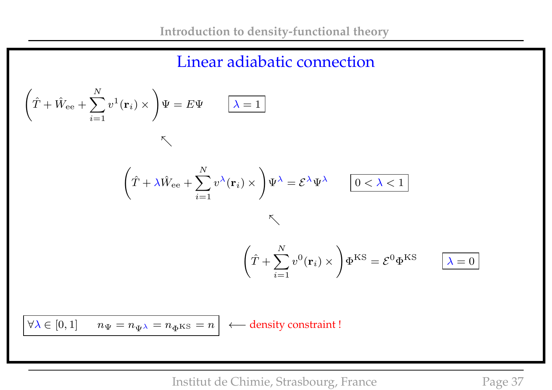

$$
\left(\hat{T} + \hat{W}_{ee} + \sum_{i=1}^{N} v^1(\mathbf{r}_i) \times \right) \Psi = E\Psi \qquad \boxed{\lambda = 1}
$$

 $K$ 

$$
\left(\hat{T} + \lambda \hat{W}_{ee} + \sum_{i=1}^{N} v^{\lambda}(\mathbf{r}_i) \times \right) \Psi^{\lambda} = \mathcal{E}^{\lambda} \Psi^{\lambda} \qquad \boxed{0 < \lambda < 1}
$$

 $K$ 

$$
\left(\hat{T} + \sum_{i=1}^{N} v^{0}(\mathbf{r}_{i}) \times \right) \Phi^{KS} = \mathcal{E}^{0} \Phi^{KS} \qquad \boxed{\lambda = 0}
$$

 $\forall \lambda \in [0,1]$  $n_{\Psi} = n_{\Psi^{\lambda}} = n_{\Phi^{\text{KS}}} = n$ 

← density constraint !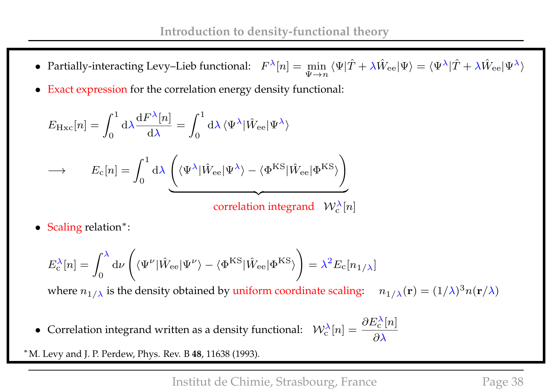- Partially-interacting Levy–Lieb functional:  $F^{\lambda}[n] = \min_{\mathbf{F}}$  $\Psi \rightarrow n$  $\langle\Psi|\hat{T}+\lambda\hat{W}_{\rm ee}|\Psi\rangle=\langle\Psi^{\lambda}|\hat{T}+\lambda\hat{W}_{\rm ee}|\Psi^{\lambda}\rangle$
- Exact expression for the correlation energy density functional:

$$
E_{\rm Hxc}[n] = \int_0^1 d\lambda \frac{dF^{\lambda}[n]}{d\lambda} = \int_0^1 d\lambda \langle \Psi^{\lambda} | \hat{W}_{ee} | \Psi^{\lambda} \rangle
$$
  

$$
\rightarrow \qquad E_c[n] = \int_0^1 d\lambda \left( \langle \Psi^{\lambda} | \hat{W}_{ee} | \Psi^{\lambda} \rangle - \langle \Phi^{\rm KS} | \hat{W}_{ee} | \Phi^{\rm KS} \rangle \right)
$$
  
correlation integrand  $\mathcal{W}_c^{\lambda}[n]$ 

• Scaling relation∗:

$$
E_{\rm c}^{\lambda}[n] = \int_0^{\lambda} {\rm d} \nu \left( \langle \Psi^{\nu} | \hat{W}_{\rm ee} | \Psi^{\nu} \rangle - \langle \Phi^{\rm KS} | \hat{W}_{\rm ee} | \Phi^{\rm KS} \rangle \right) = \lambda^2 E_{\rm c}[n_{1/\lambda}]
$$

where  $n_{1/\lambda}$  is the density obtained by uniform coordinate scaling:  $n_{1/\lambda}(\mathbf{r}) = (1/\lambda)^3 n(\mathbf{r}/\lambda)$ 

• Correlation integrand written as a density functional:  $W_c^{\lambda}[n] = \frac{\partial E_c^{\lambda}}{\partial \lambda}$  $\frac{\lambda}{c}[n]$  $\partial \lambda$ 

∗ M. Levy and J. P. Perdew, Phys. Rev. B **48**, 11638 (1993).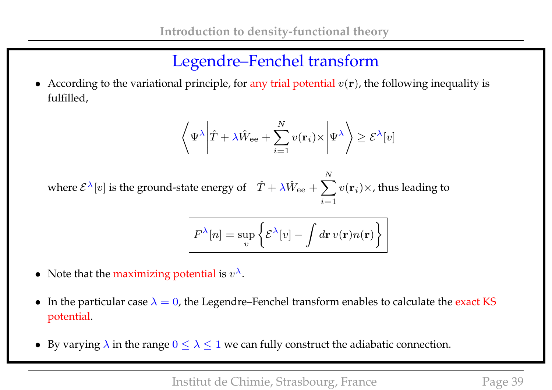# Legendre–Fenchel transform

• According to the variational principle, for any trial potential  $v(\mathbf{r})$ , the following inequality is fulfilled,

$$
\left\langle \Psi^{\lambda} \left| \hat{T} + \lambda \hat{W}_{ee} + \sum_{i=1}^{N} v(\mathbf{r}_{i}) \times \left| \Psi^{\lambda} \right| \right\rangle \geq \mathcal{E}^{\lambda}[v]
$$

where  $\mathcal{E}^{\lambda}[v]$  is the ground-state energy of  $\hat{T} + \lambda \hat{W}_{ee} + \sum$ N  $i=1$  $v(\mathbf{r}_i)\times$ , thus leading to

$$
F^{\lambda}[n] = \sup_{v} \left\{ \mathcal{E}^{\lambda}[v] - \int d\mathbf{r} \, v(\mathbf{r}) n(\mathbf{r}) \right\}
$$

- Note that the maximizing potential is  $v^{\lambda}$ .
- In the particular case  $\lambda = 0$ , the Legendre–Fenchel transform enables to calculate the exact KS potential.
- By varying  $\lambda$  in the range  $0 \leq \lambda \leq 1$  we can fully construct the adiabatic connection.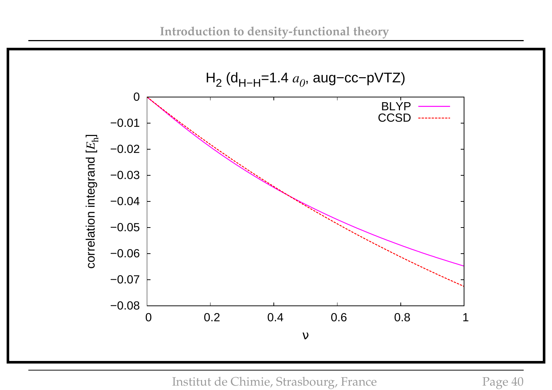

Institut de Chimie, Strasbourg, France Page 40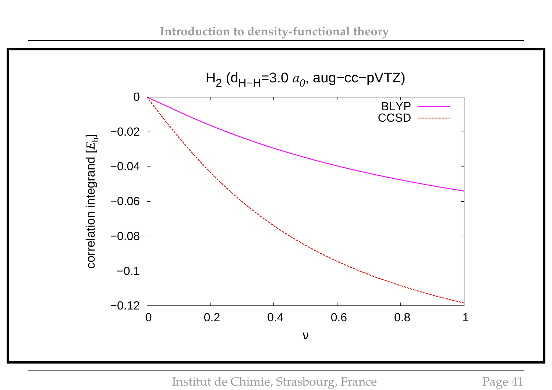